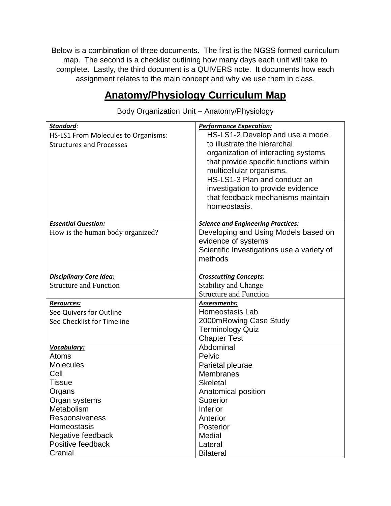Below is a combination of three documents. The first is the NGSS formed curriculum map. The second is a checklist outlining how many days each unit will take to complete. Lastly, the third document is a QUIVERS note. It documents how each assignment relates to the main concept and why we use them in class.

## **Anatomy/Physiology Curriculum Map**

*Standard*: HS-LS1 From Molecules to Organisms: Structures and Processes *Performance Expecation:* HS-LS1-2 Develop and use a model to illustrate the hierarchal organization of interacting systems that provide specific functions within multicellular organisms. HS-LS1-3 Plan and conduct an investigation to provide evidence that feedback mechanisms maintain homeostasis. *Essential Question:* How is the human body organized? *Science and Engineering Practices:* Developing and Using Models based on evidence of systems Scientific Investigations use a variety of methods *Disciplinary Core Idea:* Structure and Function *Crosscutting Concepts*: Stability and Change Structure and Function *Resources:* See Quivers for Outline See Checklist for Timeline *Assessments:* Homeostasis Lab 2000mRowing Case Study Terminology Quiz Chapter Test *Vocabulary:* Atoms **Molecules** Cell **Tissue Organs** Organ systems **Metabolism** Responsiveness **Homeostasis** Negative feedback Positive feedback **Cranial** Abdominal Pelvic Parietal pleurae **Membranes Skeletal** Anatomical position **Superior** Inferior **Anterior** Posterior **Medial** Lateral **Bilateral** 

Body Organization Unit – Anatomy/Physiology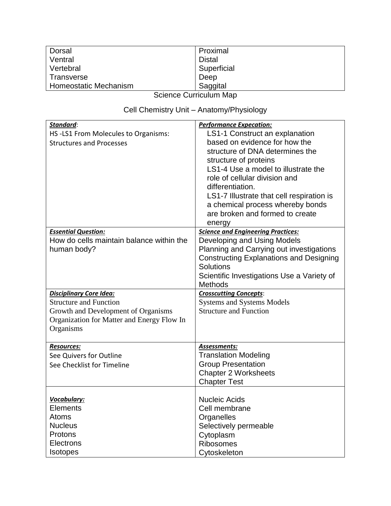| Dorsal                | Proximal      |
|-----------------------|---------------|
| Ventral               | <b>Distal</b> |
| Vertebral             | Superficial   |
| Transverse            | Deep          |
| Homeostatic Mechanism | Saggital      |

# Cell Chemistry Unit – Anatomy/Physiology

| Standard:<br>HS-LS1 From Molecules to Organisms:<br><b>Structures and Processes</b>                                                                               | <b>Performance Expecation:</b><br>LS1-1 Construct an explanation<br>based on evidence for how the<br>structure of DNA determines the<br>structure of proteins<br>LS1-4 Use a model to illustrate the<br>role of cellular division and                      |
|-------------------------------------------------------------------------------------------------------------------------------------------------------------------|------------------------------------------------------------------------------------------------------------------------------------------------------------------------------------------------------------------------------------------------------------|
|                                                                                                                                                                   | differentiation.<br>LS1-7 Illustrate that cell respiration is<br>a chemical process whereby bonds<br>are broken and formed to create<br>energy                                                                                                             |
| <b>Essential Question:</b><br>How do cells maintain balance within the<br>human body?                                                                             | <b>Science and Engineering Practices:</b><br>Developing and Using Models<br>Planning and Carrying out investigations<br><b>Constructing Explanations and Designing</b><br><b>Solutions</b><br>Scientific Investigations Use a Variety of<br><b>Methods</b> |
| <b>Disciplinary Core Idea:</b><br><b>Structure and Function</b><br>Growth and Development of Organisms<br>Organization for Matter and Energy Flow In<br>Organisms | <b>Crosscutting Concepts:</b><br><b>Systems and Systems Models</b><br><b>Structure and Function</b>                                                                                                                                                        |
| <b>Resources:</b><br>See Quivers for Outline<br>See Checklist for Timeline                                                                                        | Assessments:<br><b>Translation Modeling</b><br><b>Group Presentation</b><br><b>Chapter 2 Worksheets</b><br><b>Chapter Test</b>                                                                                                                             |
| Vocabulary:<br><b>Elements</b><br>Atoms<br><b>Nucleus</b><br>Protons<br><b>Electrons</b><br><b>Isotopes</b>                                                       | <b>Nucleic Acids</b><br>Cell membrane<br>Organelles<br>Selectively permeable<br>Cytoplasm<br><b>Ribosomes</b><br>Cytoskeleton                                                                                                                              |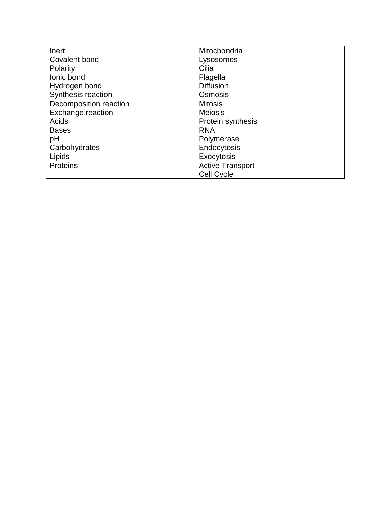| Inert                  | Mitochondria            |
|------------------------|-------------------------|
| Covalent bond          | Lysosomes               |
| Polarity               | Cilia                   |
| lonic bond             | Flagella                |
| Hydrogen bond          | <b>Diffusion</b>        |
| Synthesis reaction     | Osmosis                 |
| Decomposition reaction | <b>Mitosis</b>          |
| Exchange reaction      | <b>Meiosis</b>          |
| Acids                  | Protein synthesis       |
| <b>Bases</b>           | <b>RNA</b>              |
| pH                     | Polymerase              |
| Carbohydrates          | Endocytosis             |
| Lipids                 | Exocytosis              |
| <b>Proteins</b>        | <b>Active Transport</b> |
|                        | <b>Cell Cycle</b>       |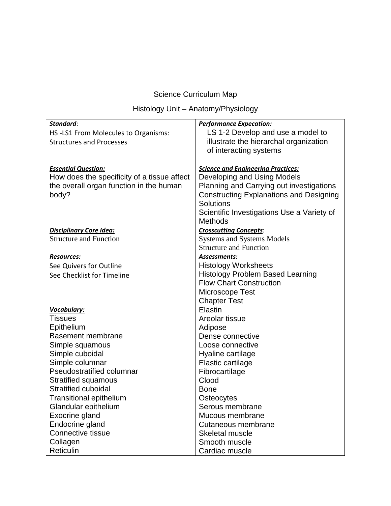### Histology Unit – Anatomy/Physiology

| Standard:                                   | <b>Performance Expecation:</b>                 |
|---------------------------------------------|------------------------------------------------|
| HS-LS1 From Molecules to Organisms:         | LS 1-2 Develop and use a model to              |
| <b>Structures and Processes</b>             | illustrate the hierarchal organization         |
|                                             | of interacting systems                         |
|                                             |                                                |
| <b>Essential Question:</b>                  | <b>Science and Engineering Practices:</b>      |
| How does the specificity of a tissue affect | Developing and Using Models                    |
| the overall organ function in the human     | Planning and Carrying out investigations       |
| body?                                       | <b>Constructing Explanations and Designing</b> |
|                                             | <b>Solutions</b>                               |
|                                             | Scientific Investigations Use a Variety of     |
|                                             | Methods                                        |
| <b>Disciplinary Core Idea:</b>              | <b>Crosscutting Concepts:</b>                  |
| <b>Structure and Function</b>               | <b>Systems and Systems Models</b>              |
|                                             | <b>Structure and Function</b>                  |
| <b>Resources:</b>                           | Assessments:                                   |
| See Quivers for Outline                     | <b>Histology Worksheets</b>                    |
| See Checklist for Timeline                  | <b>Histology Problem Based Learning</b>        |
|                                             | <b>Flow Chart Construction</b>                 |
|                                             | Microscope Test                                |
|                                             | <b>Chapter Test</b>                            |
| <b>Vocabulary:</b>                          | Elastin                                        |
| <b>Tissues</b>                              | Areolar tissue                                 |
| Epithelium                                  | Adipose                                        |
| <b>Basement membrane</b>                    | Dense connective                               |
| Simple squamous                             | Loose connective                               |
| Simple cuboidal                             | Hyaline cartilage                              |
| Simple columnar                             | Elastic cartilage                              |
| <b>Pseudostratified columnar</b>            | Fibrocartilage                                 |
| <b>Stratified squamous</b>                  | Clood                                          |
| <b>Stratified cuboidal</b>                  | <b>Bone</b>                                    |
| <b>Transitional epithelium</b>              | Osteocytes                                     |
| Glandular epithelium                        | Serous membrane                                |
| Exocrine gland                              | Mucous membrane                                |
| Endocrine gland                             | Cutaneous membrane                             |
| Connective tissue                           | Skeletal muscle                                |
| Collagen                                    | Smooth muscle                                  |
| Reticulin                                   | Cardiac muscle                                 |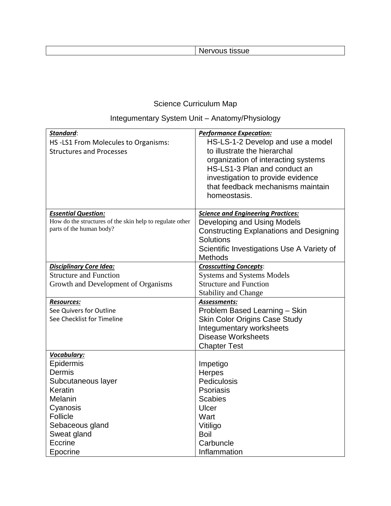### Nervous tissue

## Science Curriculum Map

## Integumentary System Unit – Anatomy/Physiology

| Standard:<br>HS-LS1 From Molecules to Organisms:<br><b>Structures and Processes</b>                                                                             | <b>Performance Expecation:</b><br>HS-LS-1-2 Develop and use a model<br>to illustrate the hierarchal<br>organization of interacting systems<br>HS-LS1-3 Plan and conduct an<br>investigation to provide evidence<br>that feedback mechanisms maintain<br>homeostasis. |
|-----------------------------------------------------------------------------------------------------------------------------------------------------------------|----------------------------------------------------------------------------------------------------------------------------------------------------------------------------------------------------------------------------------------------------------------------|
|                                                                                                                                                                 |                                                                                                                                                                                                                                                                      |
| <b>Essential Question:</b><br>How do the structures of the skin help to regulate other<br>parts of the human body?                                              | <b>Science and Engineering Practices:</b><br>Developing and Using Models<br><b>Constructing Explanations and Designing</b><br><b>Solutions</b><br>Scientific Investigations Use A Variety of<br><b>Methods</b>                                                       |
| <b>Disciplinary Core Idea:</b><br><b>Structure and Function</b><br>Growth and Development of Organisms                                                          | <b>Crosscutting Concepts:</b><br><b>Systems and Systems Models</b><br><b>Structure and Function</b><br><b>Stability and Change</b>                                                                                                                                   |
| <b>Resources:</b><br>See Quivers for Outline<br>See Checklist for Timeline                                                                                      | Assessments:<br>Problem Based Learning - Skin<br><b>Skin Color Origins Case Study</b><br>Integumentary worksheets<br><b>Disease Worksheets</b><br><b>Chapter Test</b>                                                                                                |
| Vocabulary:<br>Epidermis<br>Dermis<br>Subcutaneous layer<br>Keratin<br>Melanin<br>Cyanosis<br>Follicle<br>Sebaceous gland<br>Sweat gland<br>Eccrine<br>Epocrine | Impetigo<br><b>Herpes</b><br>Pediculosis<br><b>Psoriasis</b><br><b>Scabies</b><br>Ulcer<br>Wart<br>Vitiligo<br><b>Boil</b><br>Carbuncle<br>Inflammation                                                                                                              |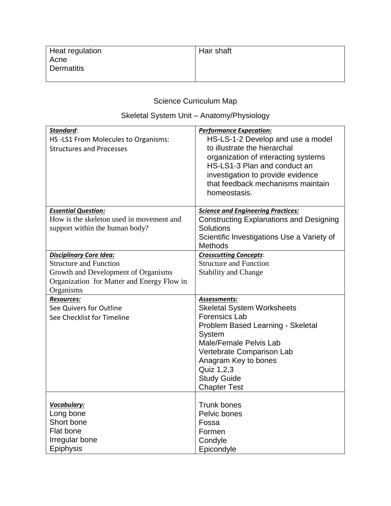| Heat regulation         | <b>Hair shaft</b> |
|-------------------------|-------------------|
| Acne                    |                   |
| <sup>1</sup> Dermatitis |                   |
|                         |                   |

## Skeletal System Unit – Anatomy/Physiology

| Standard:<br>HS-LS1 From Molecules to Organisms:<br><b>Structures and Processes</b>                      | <b>Performance Expecation:</b><br>HS-LS-1-2 Develop and use a model<br>to illustrate the hierarchal<br>organization of interacting systems<br>HS-LS1-3 Plan and conduct an<br>investigation to provide evidence                                                    |
|----------------------------------------------------------------------------------------------------------|--------------------------------------------------------------------------------------------------------------------------------------------------------------------------------------------------------------------------------------------------------------------|
|                                                                                                          | that feedback mechanisms maintain<br>homeostasis.                                                                                                                                                                                                                  |
| <b>Essential Question:</b><br>How is the skeleton used in movement and<br>support within the human body? | <b>Science and Engineering Practices:</b><br><b>Constructing Explanations and Designing</b><br><b>Solutions</b><br>Scientific Investigations Use a Variety of<br><b>Methods</b>                                                                                    |
| <b>Disciplinary Core Idea:</b><br><b>Structure and Function</b><br>Growth and Development of Organisms   | <b>Crosscutting Concepts:</b><br><b>Structure and Function</b><br><b>Stability and Change</b>                                                                                                                                                                      |
| Organization for Matter and Energy Flow in<br>Organisms                                                  |                                                                                                                                                                                                                                                                    |
| <b>Resources:</b><br>See Quivers for Outline<br>See Checklist for Timeline                               | Assessments:<br><b>Skeletal System Worksheets</b><br><b>Forensics Lab</b><br>Problem Based Learning - Skeletal<br>System<br>Male/Female Pelvis Lab<br>Vertebrate Comparison Lab<br>Anagram Key to bones<br>Quiz 1,2,3<br><b>Study Guide</b><br><b>Chapter Test</b> |
| Vocabulary:<br>Long bone<br>Short bone<br>Flat bone<br>Irregular bone<br><b>Epiphysis</b>                | <b>Trunk bones</b><br>Pelvic bones<br>Fossa<br>Formen<br>Condyle<br>Epicondyle                                                                                                                                                                                     |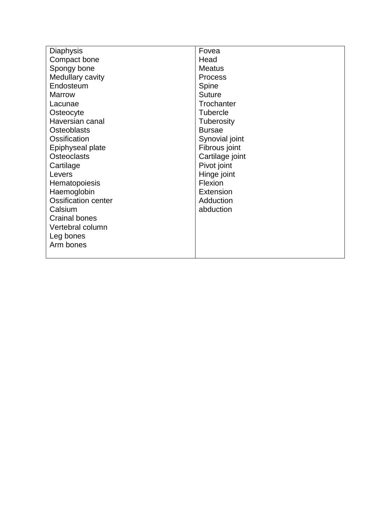| <b>Diaphysis</b>           | Fovea            |
|----------------------------|------------------|
| Compact bone               | Head             |
| Spongy bone                | <b>Meatus</b>    |
| Medullary cavity           | <b>Process</b>   |
| Endosteum                  | Spine            |
| <b>Marrow</b>              | <b>Suture</b>    |
| Lacunae                    | Trochanter       |
| Osteocyte                  | <b>Tubercle</b>  |
| Haversian canal            | Tuberosity       |
| <b>Osteoblasts</b>         | <b>Bursae</b>    |
| Ossification               | Synovial joint   |
| Epiphyseal plate           | Fibrous joint    |
| <b>Osteoclasts</b>         | Cartilage joint  |
| Cartilage                  | Pivot joint      |
| Levers                     | Hinge joint      |
| Hematopoiesis              | Flexion          |
| Haemoglobin                | <b>Extension</b> |
| <b>Ossification center</b> | Adduction        |
| Calsium                    | abduction        |
| <b>Crainal bones</b>       |                  |
| Vertebral column           |                  |
| Leg bones                  |                  |
| Arm bones                  |                  |
|                            |                  |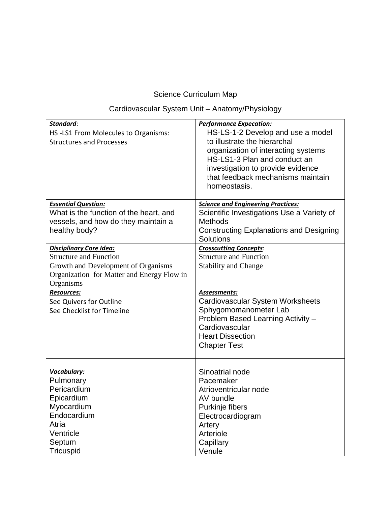## Cardiovascular System Unit – Anatomy/Physiology

| Standard:<br>HS-LS1 From Molecules to Organisms:<br><b>Structures and Processes</b> | <b>Performance Expecation:</b><br>HS-LS-1-2 Develop and use a model<br>to illustrate the hierarchal<br>organization of interacting systems<br>HS-LS1-3 Plan and conduct an<br>investigation to provide evidence<br>that feedback mechanisms maintain<br>homeostasis. |
|-------------------------------------------------------------------------------------|----------------------------------------------------------------------------------------------------------------------------------------------------------------------------------------------------------------------------------------------------------------------|
| <b>Essential Question:</b>                                                          | <b>Science and Engineering Practices:</b>                                                                                                                                                                                                                            |
| What is the function of the heart, and                                              | Scientific Investigations Use a Variety of                                                                                                                                                                                                                           |
| vessels, and how do they maintain a                                                 | <b>Methods</b>                                                                                                                                                                                                                                                       |
| healthy body?                                                                       | <b>Constructing Explanations and Designing</b><br>Solutions                                                                                                                                                                                                          |
| <b>Disciplinary Core Idea:</b>                                                      | <b>Crosscutting Concepts:</b>                                                                                                                                                                                                                                        |
| <b>Structure and Function</b>                                                       | <b>Structure and Function</b>                                                                                                                                                                                                                                        |
| Growth and Development of Organisms                                                 | <b>Stability and Change</b>                                                                                                                                                                                                                                          |
| Organization for Matter and Energy Flow in                                          |                                                                                                                                                                                                                                                                      |
| Organisms                                                                           |                                                                                                                                                                                                                                                                      |
| <b>Resources:</b>                                                                   | Assessments:                                                                                                                                                                                                                                                         |
| See Quivers for Outline                                                             | Cardiovascular System Worksheets                                                                                                                                                                                                                                     |
| See Checklist for Timeline                                                          | Sphygomomanometer Lab                                                                                                                                                                                                                                                |
|                                                                                     | Problem Based Learning Activity -                                                                                                                                                                                                                                    |
|                                                                                     | Cardiovascular                                                                                                                                                                                                                                                       |
|                                                                                     | <b>Heart Dissection</b>                                                                                                                                                                                                                                              |
|                                                                                     | <b>Chapter Test</b>                                                                                                                                                                                                                                                  |
|                                                                                     |                                                                                                                                                                                                                                                                      |
|                                                                                     |                                                                                                                                                                                                                                                                      |
| Vocabulary:                                                                         | Sinoatrial node<br>Pacemaker                                                                                                                                                                                                                                         |
| Pulmonary<br>Pericardium                                                            | Atrioventricular node                                                                                                                                                                                                                                                |
| Epicardium                                                                          | AV bundle                                                                                                                                                                                                                                                            |
| Myocardium                                                                          |                                                                                                                                                                                                                                                                      |
| Endocardium                                                                         | Purkinje fibers<br>Electrocardiogram                                                                                                                                                                                                                                 |
| Atria                                                                               | Artery                                                                                                                                                                                                                                                               |
| Ventricle                                                                           | Arteriole                                                                                                                                                                                                                                                            |
| Septum                                                                              | Capillary                                                                                                                                                                                                                                                            |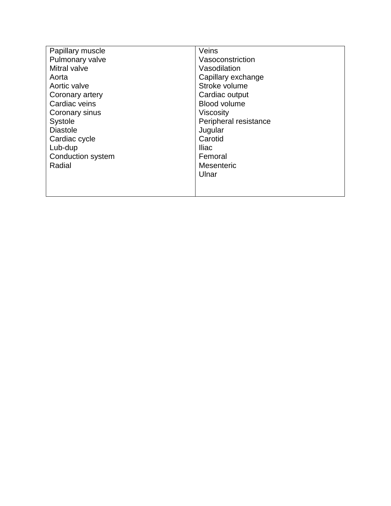| Papillary muscle  | Veins                 |
|-------------------|-----------------------|
| Pulmonary valve   | Vasoconstriction      |
| Mitral valve      | Vasodilation          |
| Aorta             | Capillary exchange    |
| Aortic valve      | Stroke volume         |
| Coronary artery   | Cardiac output        |
| Cardiac veins     | <b>Blood volume</b>   |
| Coronary sinus    | <b>Viscosity</b>      |
| <b>Systole</b>    | Peripheral resistance |
| <b>Diastole</b>   | Jugular               |
| Cardiac cycle     | Carotid               |
| Lub-dup           | Iliac                 |
| Conduction system | Femoral               |
| Radial            | <b>Mesenteric</b>     |
|                   | Ulnar                 |
|                   |                       |
|                   |                       |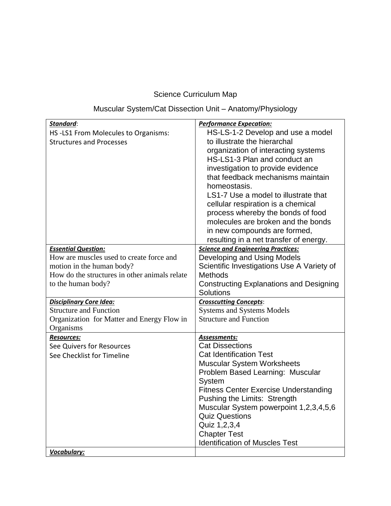| Standard:                                               | <b>Performance Expecation:</b>                                    |
|---------------------------------------------------------|-------------------------------------------------------------------|
| HS-LS1 From Molecules to Organisms:                     | HS-LS-1-2 Develop and use a model<br>to illustrate the hierarchal |
| <b>Structures and Processes</b>                         | organization of interacting systems                               |
|                                                         | HS-LS1-3 Plan and conduct an                                      |
|                                                         | investigation to provide evidence                                 |
|                                                         | that feedback mechanisms maintain                                 |
|                                                         | homeostasis.                                                      |
|                                                         | LS1-7 Use a model to illustrate that                              |
|                                                         | cellular respiration is a chemical                                |
|                                                         | process whereby the bonds of food                                 |
|                                                         | molecules are broken and the bonds                                |
|                                                         | in new compounds are formed,                                      |
|                                                         | resulting in a net transfer of energy.                            |
| <b>Essential Question:</b>                              | <b>Science and Engineering Practices:</b>                         |
| How are muscles used to create force and                | Developing and Using Models                                       |
| motion in the human body?                               | Scientific Investigations Use A Variety of                        |
| How do the structures in other animals relate           | <b>Methods</b>                                                    |
| to the human body?                                      | <b>Constructing Explanations and Designing</b>                    |
|                                                         | <b>Solutions</b>                                                  |
| <b>Disciplinary Core Idea:</b>                          | <b>Crosscutting Concepts:</b>                                     |
| <b>Structure and Function</b>                           | <b>Systems and Systems Models</b>                                 |
| Organization for Matter and Energy Flow in<br>Organisms | <b>Structure and Function</b>                                     |
| <b>Resources:</b>                                       | Assessments:                                                      |
| See Quivers for Resources                               | <b>Cat Dissections</b>                                            |
| See Checklist for Timeline                              | <b>Cat Identification Test</b>                                    |
|                                                         | <b>Muscular System Worksheets</b>                                 |
|                                                         | Problem Based Learning: Muscular                                  |
|                                                         | System                                                            |
|                                                         | <b>Fitness Center Exercise Understanding</b>                      |
|                                                         | Pushing the Limits: Strength                                      |
|                                                         | Muscular System powerpoint 1,2,3,4,5,6                            |
|                                                         | <b>Quiz Questions</b>                                             |
|                                                         | Quiz 1,2,3,4                                                      |
|                                                         | <b>Chapter Test</b>                                               |
|                                                         | <b>Identification of Muscles Test</b>                             |
| Vocabulary:                                             |                                                                   |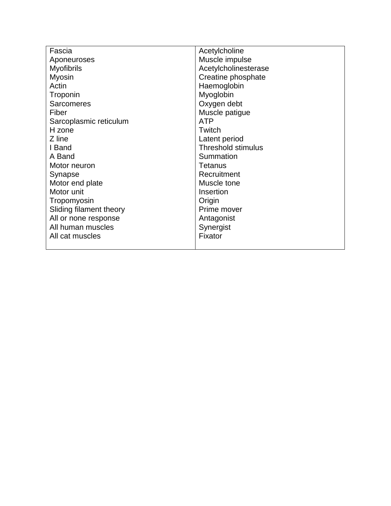| Fascia                  | Acetylcholine             |
|-------------------------|---------------------------|
| Aponeuroses             | Muscle impulse            |
| <b>Myofibrils</b>       | Acetylcholinesterase      |
| <b>Myosin</b>           | Creatine phosphate        |
| Actin                   | Haemoglobin               |
| Troponin                | Myoglobin                 |
| <b>Sarcomeres</b>       | Oxygen debt               |
| Fiber                   | Muscle patigue            |
| Sarcoplasmic reticulum  | <b>ATP</b>                |
| H zone                  | Twitch                    |
| Z line                  | Latent period             |
| I Band                  | <b>Threshold stimulus</b> |
| A Band                  | Summation                 |
| Motor neuron            | <b>Tetanus</b>            |
| Synapse                 | Recruitment               |
| Motor end plate         | Muscle tone               |
| Motor unit              | Insertion                 |
| Tropomyosin             | Origin                    |
| Sliding filament theory | Prime mover               |
| All or none response    | Antagonist                |
| All human muscles       | Synergist                 |
| All cat muscles         | Fixator                   |
|                         |                           |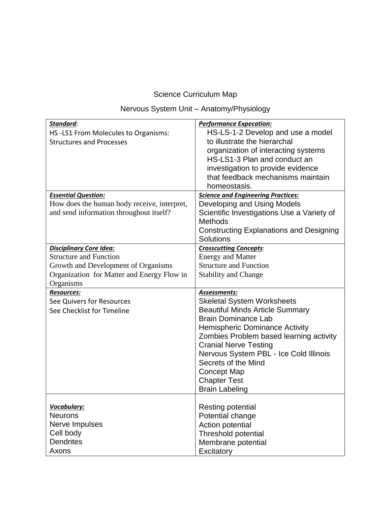## Nervous System Unit – Anatomy/Physiology

| Standard:<br>HS-LS1 From Molecules to Organisms:<br><b>Structures and Processes</b>                                                                               | <b>Performance Expecation:</b><br>HS-LS-1-2 Develop and use a model<br>to illustrate the hierarchal<br>organization of interacting systems<br>HS-LS1-3 Plan and conduct an<br>investigation to provide evidence<br>that feedback mechanisms maintain<br>homeostasis.                                                                                                                 |
|-------------------------------------------------------------------------------------------------------------------------------------------------------------------|--------------------------------------------------------------------------------------------------------------------------------------------------------------------------------------------------------------------------------------------------------------------------------------------------------------------------------------------------------------------------------------|
| <b>Essential Question:</b><br>How does the human body receive, interpret,<br>and send information throughout itself?                                              | <b>Science and Engineering Practices:</b><br>Developing and Using Models<br>Scientific Investigations Use a Variety of<br><b>Methods</b><br><b>Constructing Explanations and Designing</b><br><b>Solutions</b>                                                                                                                                                                       |
| <b>Disciplinary Core Idea:</b><br><b>Structure and Function</b><br>Growth and Development of Organisms<br>Organization for Matter and Energy Flow in<br>Organisms | <b>Crosscutting Concepts:</b><br><b>Energy and Matter</b><br><b>Structure and Function</b><br><b>Stability and Change</b>                                                                                                                                                                                                                                                            |
| <b>Resources:</b><br>See Quivers for Resources<br>See Checklist for Timeline                                                                                      | Assessments:<br><b>Skeletal System Worksheets</b><br><b>Beautiful Minds Article Summary</b><br><b>Brain Dominance Lab</b><br><b>Hemispheric Dominance Activity</b><br>Zombies Problem based learning activity<br><b>Cranial Nerve Testing</b><br>Nervous System PBL - Ice Cold Illinois<br>Secrets of the Mind<br><b>Concept Map</b><br><b>Chapter Test</b><br><b>Brain Labeling</b> |
| Vocabulary:<br><b>Neurons</b><br>Nerve Impulses<br>Cell body<br><b>Dendrites</b><br>Axons                                                                         | Resting potential<br>Potential change<br>Action potential<br>Threshold potential<br>Membrane potential<br>Excitatory                                                                                                                                                                                                                                                                 |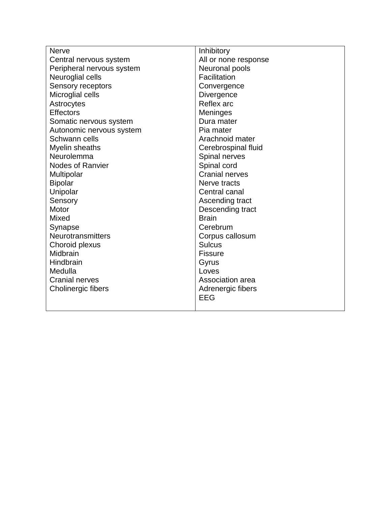| <b>Nerve</b>              | Inhibitory            |
|---------------------------|-----------------------|
| Central nervous system    | All or none response  |
| Peripheral nervous system | Neuronal pools        |
| Neuroglial cells          | Facilitation          |
| Sensory receptors         | Convergence           |
| Microglial cells          | Divergence            |
| Astrocytes                | Reflex arc            |
| <b>Effectors</b>          | Meninges              |
| Somatic nervous system    | Dura mater            |
| Autonomic nervous system  | Pia mater             |
| Schwann cells             | Arachnoid mater       |
| Myelin sheaths            | Cerebrospinal fluid   |
| Neurolemma                | Spinal nerves         |
| Nodes of Ranvier          | Spinal cord           |
| Multipolar                | <b>Cranial nerves</b> |
| <b>Bipolar</b>            | Nerve tracts          |
| Unipolar                  | Central canal         |
| Sensory                   | Ascending tract       |
| Motor                     | Descending tract      |
| <b>Mixed</b>              | <b>Brain</b>          |
| Synapse                   | Cerebrum              |
| Neurotransmitters         | Corpus callosum       |
| Choroid plexus            | <b>Sulcus</b>         |
| Midbrain                  | <b>Fissure</b>        |
| Hindbrain                 | Gyrus                 |
| Medulla                   | Loves                 |
| <b>Cranial nerves</b>     | Association area      |
| Cholinergic fibers        | Adrenergic fibers     |
|                           | <b>EEG</b>            |
|                           |                       |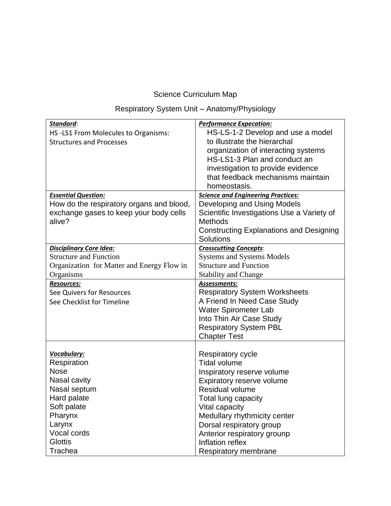## Respiratory System Unit – Anatomy/Physiology

| Standard:                                  | <b>Performance Expecation:</b>                 |
|--------------------------------------------|------------------------------------------------|
| HS-LS1 From Molecules to Organisms:        | HS-LS-1-2 Develop and use a model              |
| <b>Structures and Processes</b>            | to illustrate the hierarchal                   |
|                                            | organization of interacting systems            |
|                                            | HS-LS1-3 Plan and conduct an                   |
|                                            | investigation to provide evidence              |
|                                            | that feedback mechanisms maintain              |
|                                            | homeostasis.                                   |
| <b>Essential Question:</b>                 | <b>Science and Engineering Practices:</b>      |
| How do the respiratory organs and blood,   | Developing and Using Models                    |
| exchange gases to keep your body cells     | Scientific Investigations Use a Variety of     |
| alive?                                     | <b>Methods</b>                                 |
|                                            | <b>Constructing Explanations and Designing</b> |
|                                            | Solutions                                      |
| <b>Disciplinary Core Idea:</b>             | <b>Crosscutting Concepts:</b>                  |
| <b>Structure and Function</b>              | <b>Systems and Systems Models</b>              |
| Organization for Matter and Energy Flow in | <b>Structure and Function</b>                  |
| Organisms                                  | <b>Stability and Change</b>                    |
| <b>Resources:</b>                          | Assessments:                                   |
| See Quivers for Resources                  | <b>Respiratory System Worksheets</b>           |
| See Checklist for Timeline                 | A Friend In Need Case Study                    |
|                                            | <b>Water Spirometer Lab</b>                    |
|                                            | Into Thin Air Case Study                       |
|                                            | <b>Respiratory System PBL</b>                  |
|                                            | <b>Chapter Test</b>                            |
|                                            |                                                |
| Vocabulary:                                | <b>Respiratory cycle</b>                       |
| Respiration                                | <b>Tidal volume</b>                            |
| <b>Nose</b>                                | Inspiratory reserve volume                     |
| Nasal cavity                               | Expiratory reserve volume                      |
| Nasal septum                               | Residual volume                                |
| Hard palate                                | Total lung capacity                            |
| Soft palate                                | Vital capacity                                 |
| Pharynx                                    | Medullary rhythmicity center                   |
| Larynx                                     | Dorsal respiratory group                       |
| Vocal cords                                | Anterior respiratory grounp                    |
| <b>Glottis</b>                             | Inflation reflex                               |
| Trachea                                    | Respiratory membrane                           |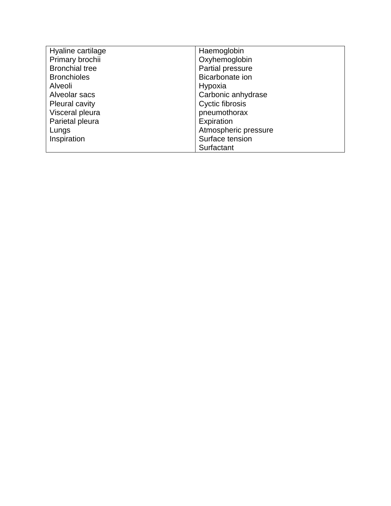| Hyaline cartilage     | Haemoglobin          |
|-----------------------|----------------------|
| Primary brochii       | Oxyhemoglobin        |
| <b>Bronchial tree</b> | Partial pressure     |
| <b>Bronchioles</b>    | Bicarbonate ion      |
| Alveoli               | Hypoxia              |
| Alveolar sacs         | Carbonic anhydrase   |
| Pleural cavity        | Cyctic fibrosis      |
| Visceral pleura       | pneumothorax         |
| Parietal pleura       | Expiration           |
| Lungs                 | Atmospheric pressure |
| Inspiration           | Surface tension      |
|                       | Surfactant           |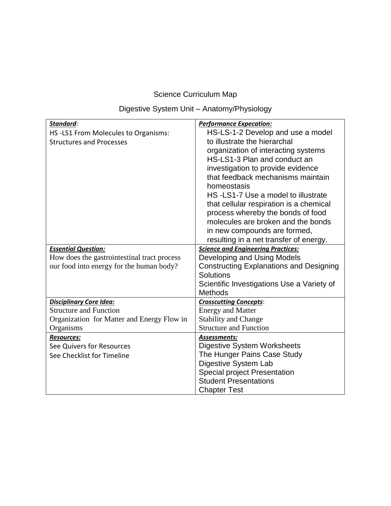## Digestive System Unit – Anatomy/Physiology

| Standard:                                   | <b>Performance Expecation:</b>                 |
|---------------------------------------------|------------------------------------------------|
| HS-LS1 From Molecules to Organisms:         | HS-LS-1-2 Develop and use a model              |
| <b>Structures and Processes</b>             | to illustrate the hierarchal                   |
|                                             | organization of interacting systems            |
|                                             | HS-LS1-3 Plan and conduct an                   |
|                                             | investigation to provide evidence              |
|                                             | that feedback mechanisms maintain              |
|                                             | homeostasis                                    |
|                                             | HS-LS1-7 Use a model to illustrate             |
|                                             | that cellular respiration is a chemical        |
|                                             | process whereby the bonds of food              |
|                                             | molecules are broken and the bonds             |
|                                             | in new compounds are formed,                   |
|                                             | resulting in a net transfer of energy.         |
| <b>Essential Question:</b>                  | <b>Science and Engineering Practices:</b>      |
| How does the gastrointestinal tract process | Developing and Using Models                    |
| our food into energy for the human body?    | <b>Constructing Explanations and Designing</b> |
|                                             | Solutions                                      |
|                                             | Scientific Investigations Use a Variety of     |
|                                             | <b>Methods</b>                                 |
| <b>Disciplinary Core Idea:</b>              | <b>Crosscutting Concepts:</b>                  |
| <b>Structure and Function</b>               | <b>Energy and Matter</b>                       |
| Organization for Matter and Energy Flow in  | <b>Stability and Change</b>                    |
| Organisms                                   | <b>Structure and Function</b>                  |
| <b>Resources:</b>                           | <b>Assessments:</b>                            |
| See Quivers for Resources                   | <b>Digestive System Worksheets</b>             |
| See Checklist for Timeline                  | The Hunger Pains Case Study                    |
|                                             | <b>Digestive System Lab</b>                    |
|                                             | <b>Special project Presentation</b>            |
|                                             | <b>Student Presentations</b>                   |
|                                             | <b>Chapter Test</b>                            |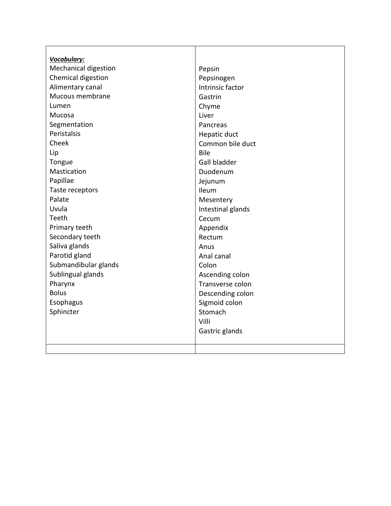| Vocabulary:                 |                   |
|-----------------------------|-------------------|
| <b>Mechanical digestion</b> | Pepsin            |
| Chemical digestion          | Pepsinogen        |
| Alimentary canal            | Intrinsic factor  |
| Mucous membrane             | Gastrin           |
| Lumen                       | Chyme             |
| Mucosa                      | Liver             |
| Segmentation                | Pancreas          |
| Peristalsis                 | Hepatic duct      |
| Cheek                       | Common bile duct  |
| Lip                         | <b>Bile</b>       |
| Tongue                      | Gall bladder      |
| Mastication                 | Duodenum          |
| Papillae                    | Jejunum           |
| Taste receptors             | Ileum             |
| Palate                      | Mesentery         |
| Uvula                       | Intestinal glands |
| Teeth                       | Cecum             |
| Primary teeth               | Appendix          |
| Secondary teeth             | Rectum            |
| Saliva glands               | Anus              |
| Parotid gland               | Anal canal        |
| Submandibular glands        | Colon             |
| Sublingual glands           | Ascending colon   |
| Pharynx                     | Transverse colon  |
| <b>Bolus</b>                | Descending colon  |
| Esophagus                   | Sigmoid colon     |
| Sphincter                   | Stomach           |
|                             | Villi             |
|                             | Gastric glands    |
|                             |                   |
|                             |                   |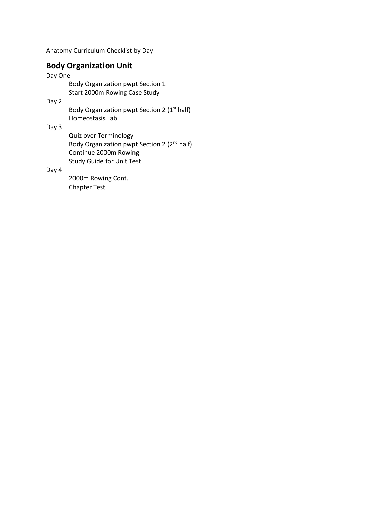Anatomy Curriculum Checklist by Day

### **Body Organization Unit**

Day One

Body Organization pwpt Section 1 Start 2000m Rowing Case Study

Day 2

Body Organization pwpt Section 2 (1<sup>st</sup> half) Homeostasis Lab

Day 3

Quiz over Terminology Body Organization pwpt Section 2 (2nd half) Continue 2000m Rowing Study Guide for Unit Test

Day 4

2000m Rowing Cont. Chapter Test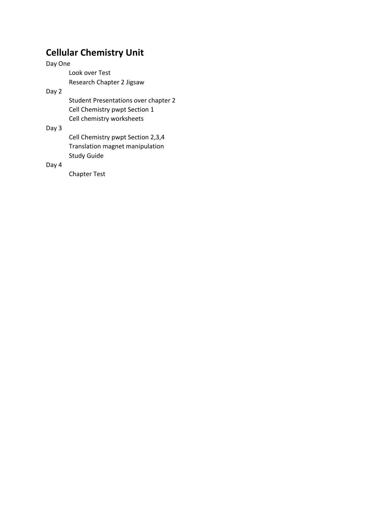## **Cellular Chemistry Unit**

Day One Look over Test Research Chapter 2 Jigsaw

Day 2

Student Presentations over chapter 2 Cell Chemistry pwpt Section 1 Cell chemistry worksheets

#### Day 3

Cell Chemistry pwpt Section 2,3,4 Translation magnet manipulation Study Guide

#### Day 4

Chapter Test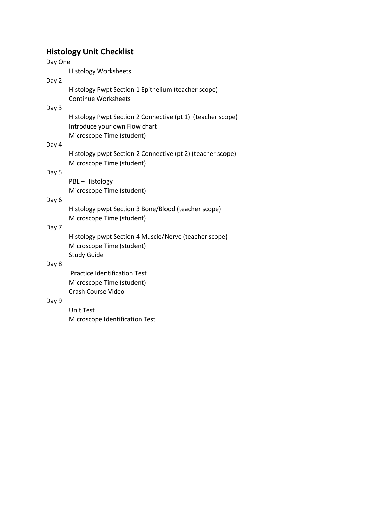### **Histology Unit Checklist**

Day One Histology Worksheets Day 2 Histology Pwpt Section 1 Epithelium (teacher scope) Continue Worksheets Day 3 Histology Pwpt Section 2 Connective (pt 1) (teacher scope) Introduce your own Flow chart Microscope Time (student) Day 4 Histology pwpt Section 2 Connective (pt 2) (teacher scope) Microscope Time (student) Day 5 PBL – Histology Microscope Time (student) Day 6 Histology pwpt Section 3 Bone/Blood (teacher scope) Microscope Time (student) Day 7 Histology pwpt Section 4 Muscle/Nerve (teacher scope) Microscope Time (student) Study Guide Day 8 Practice Identification Test Microscope Time (student) Crash Course Video Day 9 Unit Test Microscope Identification Test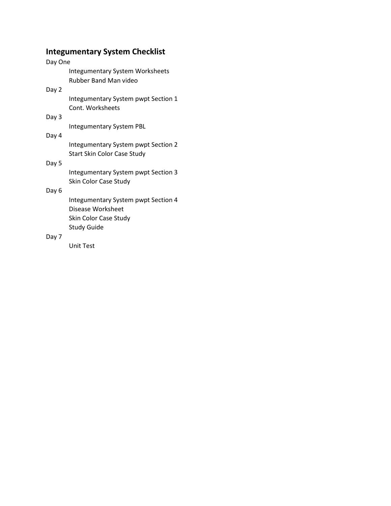### **Integumentary System Checklist**

## Day One

Integumentary System Worksheets Rubber Band Man video

#### Day 2

Integumentary System pwpt Section 1 Cont. Worksheets

#### Day 3

Integumentary System PBL

#### Day 4

Integumentary System pwpt Section 2 Start Skin Color Case Study

#### Day 5

Integumentary System pwpt Section 3 Skin Color Case Study

#### Day 6

Integumentary System pwpt Section 4 Disease Worksheet Skin Color Case Study Study Guide

#### Day 7

Unit Test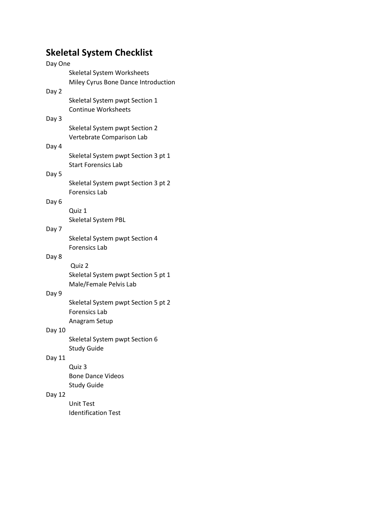# **Skeletal System Checklist**

| Day One |                                     |
|---------|-------------------------------------|
|         | <b>Skeletal System Worksheets</b>   |
|         | Miley Cyrus Bone Dance Introduction |
| Day 2   |                                     |
|         | Skeletal System pwpt Section 1      |
|         | <b>Continue Worksheets</b>          |
| Day 3   |                                     |
|         | Skeletal System pwpt Section 2      |
|         | Vertebrate Comparison Lab           |
| Day 4   |                                     |
|         | Skeletal System pwpt Section 3 pt 1 |
|         | <b>Start Forensics Lab</b>          |
| Day 5   |                                     |
|         | Skeletal System pwpt Section 3 pt 2 |
|         | <b>Forensics Lab</b>                |
| Day 6   |                                     |
|         | Quiz 1                              |
|         | <b>Skeletal System PBL</b>          |
| Day 7   |                                     |
|         | Skeletal System pwpt Section 4      |
|         | <b>Forensics Lab</b>                |
| Day 8   |                                     |
|         | Quiz 2                              |
|         | Skeletal System pwpt Section 5 pt 1 |
|         | Male/Female Pelvis Lab              |
| Day 9   |                                     |
|         | Skeletal System pwpt Section 5 pt 2 |
|         | <b>Forensics Lab</b>                |
|         | Anagram Setup                       |
|         |                                     |
| Day 10  |                                     |
|         | Skeletal System pwpt Section 6      |
|         | <b>Study Guide</b>                  |
| Day 11  |                                     |
|         | Quiz 3                              |
|         | <b>Bone Dance Videos</b>            |
|         | <b>Study Guide</b>                  |
| Day 12  |                                     |
|         | Unit Test                           |
|         | <b>Identification Test</b>          |
|         |                                     |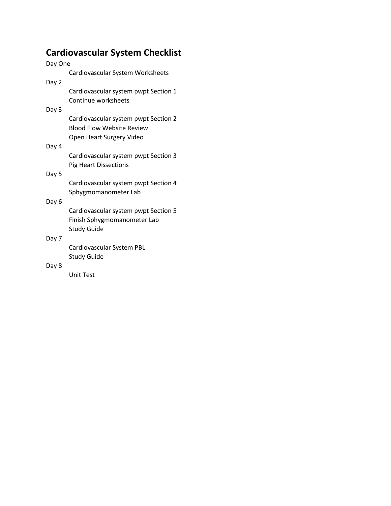# **Cardiovascular System Checklist**

| Day One |                                                                                           |
|---------|-------------------------------------------------------------------------------------------|
|         | Cardiovascular System Worksheets                                                          |
| Day 2   |                                                                                           |
|         | Cardiovascular system pwpt Section 1                                                      |
|         | Continue worksheets                                                                       |
| Day 3   |                                                                                           |
|         | Cardiovascular system pwpt Section 2<br><b>Blood Flow Website Review</b>                  |
|         | Open Heart Surgery Video                                                                  |
| Day 4   |                                                                                           |
|         | Cardiovascular system pwpt Section 3<br><b>Pig Heart Dissections</b>                      |
| Day 5   |                                                                                           |
|         | Cardiovascular system pwpt Section 4<br>Sphygmomanometer Lab                              |
| Day 6   |                                                                                           |
|         | Cardiovascular system pwpt Section 5<br>Finish Sphygmomanometer Lab<br><b>Study Guide</b> |
| Day 7   |                                                                                           |
|         | Cardiovascular System PBL<br><b>Study Guide</b>                                           |
| Day 8   |                                                                                           |
|         | <b>Unit Test</b>                                                                          |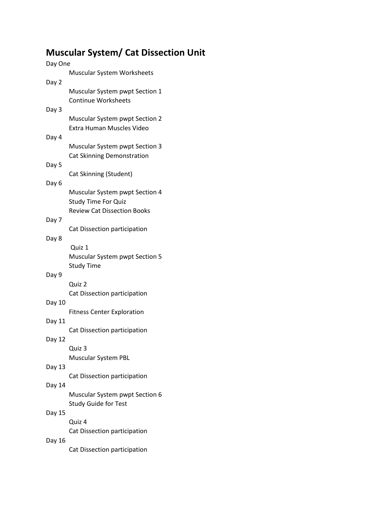# **Muscular System/ Cat Dissection Unit**

| Day One |                                       |
|---------|---------------------------------------|
|         | Muscular System Worksheets            |
| Day 2   |                                       |
|         | Muscular System pwpt Section 1        |
|         | <b>Continue Worksheets</b>            |
|         |                                       |
| Day 3   |                                       |
|         | <b>Muscular System pwpt Section 2</b> |
|         | Extra Human Muscles Video             |
| Day 4   |                                       |
|         | <b>Muscular System pwpt Section 3</b> |
|         | Cat Skinning Demonstration            |
| Day 5   |                                       |
|         | Cat Skinning (Student)                |
|         |                                       |
| Day 6   |                                       |
|         | <b>Muscular System pwpt Section 4</b> |
|         | <b>Study Time For Quiz</b>            |
|         | <b>Review Cat Dissection Books</b>    |
| Day 7   |                                       |
|         | Cat Dissection participation          |
| Day 8   |                                       |
|         |                                       |
|         | Quiz 1                                |
|         | Muscular System pwpt Section 5        |
|         | <b>Study Time</b>                     |
| Day 9   |                                       |
|         | Quiz 2                                |
|         | Cat Dissection participation          |
| Day 10  |                                       |
|         | <b>Fitness Center Exploration</b>     |
|         |                                       |
| Day 11  |                                       |
|         | Cat Dissection participation          |
| Day 12  |                                       |
|         | Quiz 3                                |
|         | <b>Muscular System PBL</b>            |
| Day 13  |                                       |
|         | Cat Dissection participation          |
| Day 14  |                                       |
|         |                                       |
|         | Muscular System pwpt Section 6        |
|         | <b>Study Guide for Test</b>           |
| Day 15  |                                       |
|         | Quiz 4                                |
|         | Cat Dissection participation          |
| Day 16  |                                       |
|         | Cat Dissection participation          |
|         |                                       |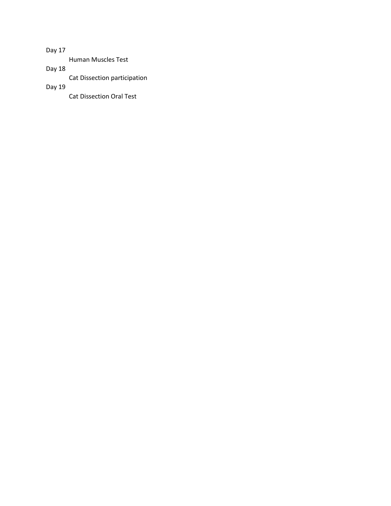Day 17

Human Muscles Test

Day 18

Cat Dissection participation

Day 19

Cat Dissection Oral Test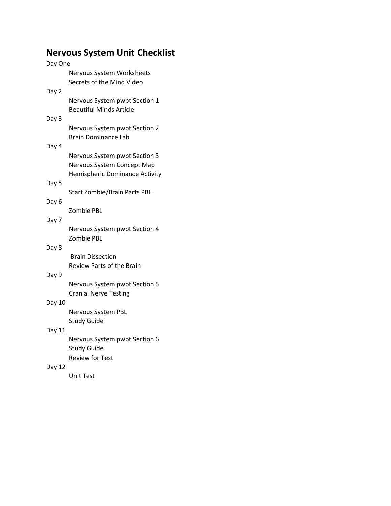# **Nervous System Unit Checklist**

| Day One |                                                      |  |
|---------|------------------------------------------------------|--|
|         | Nervous System Worksheets                            |  |
|         | Secrets of the Mind Video                            |  |
| Day 2   |                                                      |  |
|         | Nervous System pwpt Section 1                        |  |
|         | <b>Beautiful Minds Article</b>                       |  |
| Day 3   |                                                      |  |
|         | Nervous System pwpt Section 2<br>Brain Dominance Lab |  |
| Day 4   |                                                      |  |
|         | Nervous System pwpt Section 3                        |  |
|         | Nervous System Concept Map                           |  |
|         | Hemispheric Dominance Activity                       |  |
| Day 5   |                                                      |  |
|         | <b>Start Zombie/Brain Parts PBL</b>                  |  |
| Day 6   |                                                      |  |
|         | Zombie PBL                                           |  |
| Day 7   |                                                      |  |
|         | Nervous System pwpt Section 4                        |  |
|         | Zombie PBL                                           |  |
| Day 8   |                                                      |  |
|         | <b>Brain Dissection</b><br>Review Parts of the Brain |  |
| Day 9   |                                                      |  |
|         | Nervous System pwpt Section 5                        |  |
|         | <b>Cranial Nerve Testing</b>                         |  |
| Day 10  |                                                      |  |
|         | Nervous System PBL                                   |  |
|         | <b>Study Guide</b>                                   |  |
| Day 11  |                                                      |  |
|         | Nervous System pwpt Section 6                        |  |
|         | <b>Study Guide</b>                                   |  |
|         | <b>Review for Test</b>                               |  |
| Day 12  |                                                      |  |
|         | Unit Test                                            |  |
|         |                                                      |  |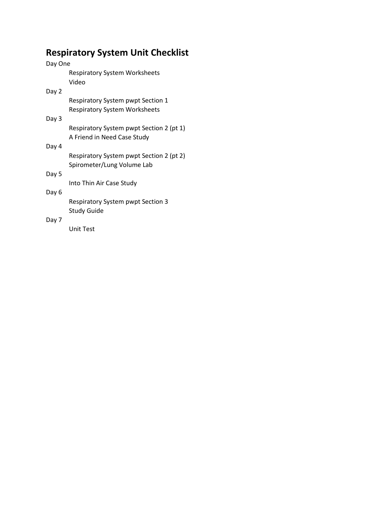# **Respiratory System Unit Checklist**

| Day One |                                               |  |
|---------|-----------------------------------------------|--|
|         | <b>Respiratory System Worksheets</b><br>Video |  |
| Day 2   |                                               |  |
|         | Respiratory System pwpt Section 1             |  |
|         | <b>Respiratory System Worksheets</b>          |  |
| Day 3   |                                               |  |
|         | Respiratory System pwpt Section 2 (pt 1)      |  |
|         | A Friend in Need Case Study                   |  |
| Day 4   |                                               |  |
|         | Respiratory System pwpt Section 2 (pt 2)      |  |
|         | Spirometer/Lung Volume Lab                    |  |
| Day 5   |                                               |  |
| Day 6   | Into Thin Air Case Study                      |  |
|         | <b>Respiratory System pwpt Section 3</b>      |  |
|         | Study Guide                                   |  |
| Day 7   |                                               |  |
|         | Unit Test                                     |  |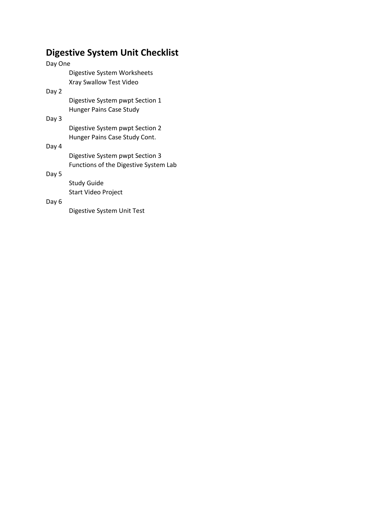# **Digestive System Unit Checklist**

| Day One |                                       |
|---------|---------------------------------------|
|         | Digestive System Worksheets           |
|         | Xray Swallow Test Video               |
| Day 2   |                                       |
|         | Digestive System pwpt Section 1       |
|         | Hunger Pains Case Study               |
| Day 3   |                                       |
|         | Digestive System pwpt Section 2       |
|         | Hunger Pains Case Study Cont.         |
| Day 4   |                                       |
|         | Digestive System pwpt Section 3       |
|         | Functions of the Digestive System Lab |
| Day 5   |                                       |
|         | Study Guide                           |
|         | Start Video Project                   |
| Day 6   |                                       |
|         | Digestive System Unit Test            |
|         |                                       |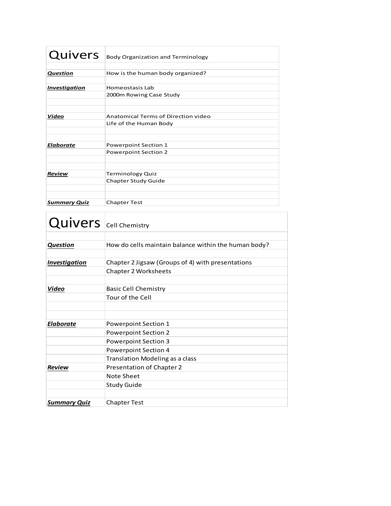| Quivers              | <b>Body Organization and Terminology</b> |
|----------------------|------------------------------------------|
|                      |                                          |
| Question             | How is the human body organized?         |
|                      |                                          |
| <b>Investigation</b> | Homeostasis Lab                          |
|                      | 2000m Rowing Case Study                  |
|                      |                                          |
|                      |                                          |
| Video                | Anatomical Terms of Direction video      |
|                      | Life of the Human Body                   |
|                      |                                          |
|                      |                                          |
| <b>Elaborate</b>     | Powerpoint Section 1                     |
|                      | <b>Powerpoint Section 2</b>              |
|                      |                                          |
|                      |                                          |
| Review               | <b>Terminology Quiz</b>                  |
|                      | Chapter Study Guide                      |
|                      |                                          |
|                      |                                          |
| <b>Summary Quiz</b>  | <b>Chapter Test</b>                      |

| <b>Quivers</b> Cell Chemistry |                                                      |
|-------------------------------|------------------------------------------------------|
|                               |                                                      |
| <b>Question</b>               | How do cells maintain balance within the human body? |
|                               |                                                      |
| <b>Investigation</b>          | Chapter 2 Jigsaw (Groups of 4) with presentations    |
|                               | <b>Chapter 2 Worksheets</b>                          |
| Video                         | <b>Basic Cell Chemistry</b>                          |
|                               | Tour of the Cell                                     |
|                               |                                                      |
| <b>Elaborate</b>              | <b>Powerpoint Section 1</b>                          |
|                               | <b>Powerpoint Section 2</b>                          |
|                               | <b>Powerpoint Section 3</b>                          |
|                               | <b>Powerpoint Section 4</b>                          |
|                               | Translation Modeling as a class                      |
| <b>Review</b>                 | Presentation of Chapter 2                            |
|                               | Note Sheet                                           |
|                               | <b>Study Guide</b>                                   |
|                               |                                                      |
| <b>Summary Quiz</b>           | <b>Chapter Test</b>                                  |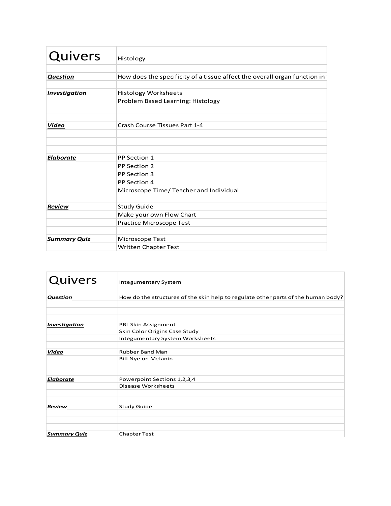| Quivers              | Histology                                                                   |
|----------------------|-----------------------------------------------------------------------------|
| <b>Question</b>      | How does the specificity of a tissue affect the overall organ function in t |
| <b>Investigation</b> | <b>Histology Worksheets</b><br>Problem Based Learning: Histology            |
| Video                | Crash Course Tissues Part 1-4                                               |
| <b>Elaborate</b>     | PP Section 1<br>PP Section 2                                                |
|                      | PP Section 3<br>PP Section 4                                                |
| <b>Review</b>        | Microscope Time/ Teacher and Individual<br><b>Study Guide</b>               |
|                      | Make your own Flow Chart<br>Practice Microscope Test                        |
| <b>Summary Quiz</b>  | Microscope Test<br><b>Written Chapter Test</b>                              |

| Quivers              | <b>Integumentary System</b>                                                       |  |
|----------------------|-----------------------------------------------------------------------------------|--|
| Question             | How do the structures of the skin help to regulate other parts of the human body? |  |
| <b>Investigation</b> | PBL Skin Assignment<br>Skin Color Origins Case Study                              |  |
|                      | <b>Integumentary System Worksheets</b>                                            |  |
| Video                | <b>Rubber Band Man</b><br>Bill Nye on Melanin                                     |  |
| <b>Elaborate</b>     | Powerpoint Sections 1,2,3,4<br>Disease Worksheets                                 |  |
| Review               | <b>Study Guide</b>                                                                |  |
| <b>Summary Quiz</b>  | <b>Chapter Test</b>                                                               |  |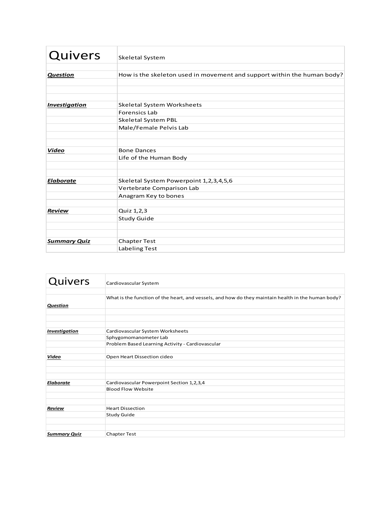| Quivers              | Skeletal System                                                         |  |
|----------------------|-------------------------------------------------------------------------|--|
| Question             | How is the skeleton used in movement and support within the human body? |  |
|                      |                                                                         |  |
| <b>Investigation</b> | Skeletal System Worksheets                                              |  |
|                      | <b>Forensics Lab</b>                                                    |  |
|                      | <b>Skeletal System PBL</b>                                              |  |
|                      | Male/Female Pelvis Lab                                                  |  |
| Video                | <b>Bone Dances</b>                                                      |  |
|                      | Life of the Human Body                                                  |  |
| <b>Elaborate</b>     | Skeletal System Powerpoint 1,2,3,4,5,6                                  |  |
|                      | Vertebrate Comparison Lab                                               |  |
|                      | Anagram Key to bones                                                    |  |
| <b>Review</b>        | Quiz 1,2,3                                                              |  |
|                      | <b>Study Guide</b>                                                      |  |
|                      |                                                                         |  |
| <b>Summary Quiz</b>  | <b>Chapter Test</b>                                                     |  |
|                      | Labeling Test                                                           |  |

| Quivers              | Cardiovascular System                                                                              |
|----------------------|----------------------------------------------------------------------------------------------------|
| <b>Question</b>      | What is the function of the heart, and vessels, and how do they maintain health in the human body? |
| <b>Investigation</b> | Cardiovascular System Worksheets<br>Sphygomomanometer Lab                                          |
|                      | Problem Based Learning Activity - Cardiovascular                                                   |
| <u>Video</u>         | Open Heart Dissection cideo                                                                        |
| <b>Elaborate</b>     | Cardiovascular Powerpoint Section 1,2,3,4<br><b>Blood Flow Website</b>                             |
| <b>Review</b>        | <b>Heart Dissection</b><br><b>Study Guide</b>                                                      |
| <b>Summary Quiz</b>  | <b>Chapter Test</b>                                                                                |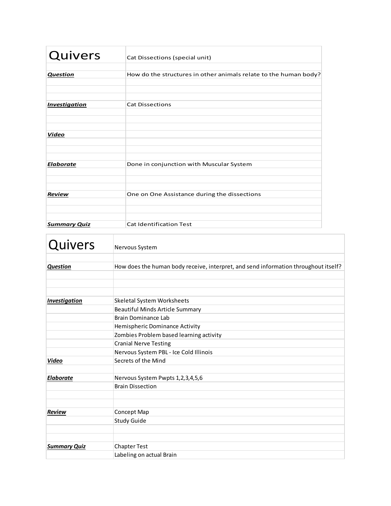| Quivers              | Cat Dissections (special unit)                                   |
|----------------------|------------------------------------------------------------------|
|                      |                                                                  |
| <b>Question</b>      | How do the structures in other animals relate to the human body? |
|                      |                                                                  |
| <b>Investigation</b> | <b>Cat Dissections</b>                                           |
|                      |                                                                  |
|                      |                                                                  |
| Video                |                                                                  |
|                      |                                                                  |
| <b>Elaborate</b>     |                                                                  |
|                      | Done in conjunction with Muscular System                         |
|                      |                                                                  |
| <b>Review</b>        | One on One Assistance during the dissections                     |
|                      |                                                                  |
|                      |                                                                  |
| <b>Summary Quiz</b>  | <b>Cat Identification Test</b>                                   |

| Quivers              | Nervous System                                                                      |
|----------------------|-------------------------------------------------------------------------------------|
| <b>Question</b>      | How does the human body receive, interpret, and send information throughout itself? |
| <b>Investigation</b> | <b>Skeletal System Worksheets</b>                                                   |
|                      | Beautiful Minds Article Summary                                                     |
|                      | Brain Dominance Lab                                                                 |
|                      | Hemispheric Dominance Activity                                                      |
|                      | Zombies Problem based learning activity                                             |
|                      | <b>Cranial Nerve Testing</b>                                                        |
|                      | Nervous System PBL - Ice Cold Illinois                                              |
| Video                | Secrets of the Mind                                                                 |
| <b>Elaborate</b>     | Nervous System Pwpts 1,2,3,4,5,6                                                    |
|                      | <b>Brain Dissection</b>                                                             |
|                      |                                                                                     |
| <b>Review</b>        | Concept Map                                                                         |
|                      | <b>Study Guide</b>                                                                  |
| <b>Summary Quiz</b>  | <b>Chapter Test</b>                                                                 |
|                      | Labeling on actual Brain                                                            |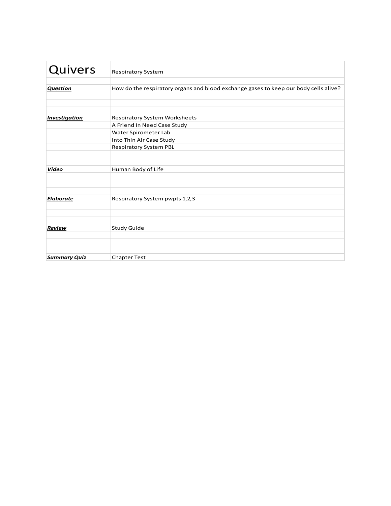| Quivers              | <b>Respiratory System</b>                                                            |
|----------------------|--------------------------------------------------------------------------------------|
| <b>Question</b>      | How do the respiratory organs and blood exchange gases to keep our body cells alive? |
| <b>Investigation</b> | Respiratory System Worksheets<br>A Friend In Need Case Study                         |
|                      | Water Spirometer Lab<br>Into Thin Air Case Study                                     |
|                      | <b>Respiratory System PBL</b>                                                        |
| Video                | Human Body of Life                                                                   |
| <b>Elaborate</b>     | Respiratory System pwpts 1,2,3                                                       |
| Review               | <b>Study Guide</b>                                                                   |
| <b>Summary Quiz</b>  | <b>Chapter Test</b>                                                                  |